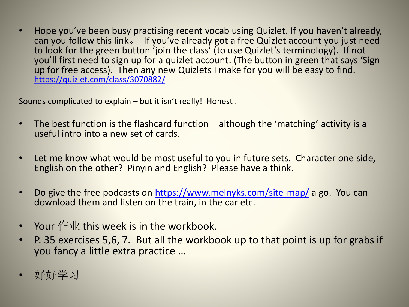• Hope you've been busy practising recent vocab using Quizlet. If you haven't already, can you follow this link。 If you've already got a free Quizlet account you just need to look for the green button 'join the class' (to use Quizlet's terminology). If not you'll first need to sign up for a quizlet account. (The button in green that says 'Sign up for free access). Then any new Quizlets I make for you will be easy to find. <https://quizlet.com/class/3070882/>

Sounds complicated to explain – but it isn't really! Honest .

- The best function is the flashcard function although the 'matching' activity is a useful intro into a new set of cards.
- Let me know what would be most useful to you in future sets. Character one side, English on the other? Pinyin and English? Please have a think.
- Do give the free podcasts on <https://www.melnyks.com/site-map/> a go. You can download them and listen on the train, in the car etc.
- Your  $f \in \mathcal{V}$  this week is in the workbook.
- P. 35 exercises 5,6, 7. But all the workbook up to that point is up for grabs if you fancy a little extra practice …
- 好好学习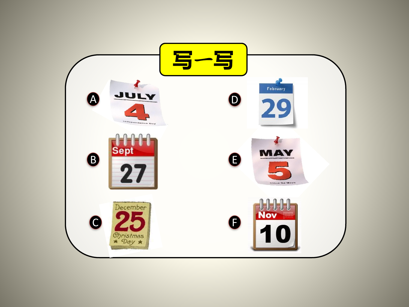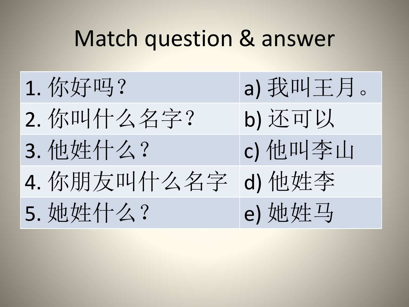## Match question & answer

| 1. 你好吗?     | a) 我叫王月。 |
|-------------|----------|
| 2. 你叫什么名字?  | b) 还可以   |
| 3. 他姓什么?    | c) 他叫李山  |
| 4. 你朋友叫什么名字 | d) 他姓李   |
| 5. 她姓什么?    | e) 她姓马   |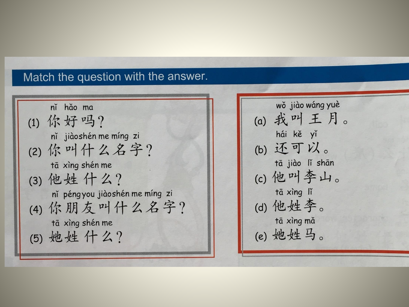## Match the question with the answer.

ní hǎo ma (1) 你好吗? nǐ jiàoshén me míng zi (2) 你叫什么名字? tā xìng shén me (3) 他姓什么? ní péngyou jiàoshén me míng zi (4) 你朋友叫什么名字? tā xìng shén me (5) 她姓什么?

wǒ jiào wáng yuè (a) 我叫王月。 hái kě yǐ (b) 还可以。 tā jiào lǐ shān (c) 他叫李山。 tā xìng lǐ (d) 他姓李。 tā xìng mǎ (e) 她姓马。